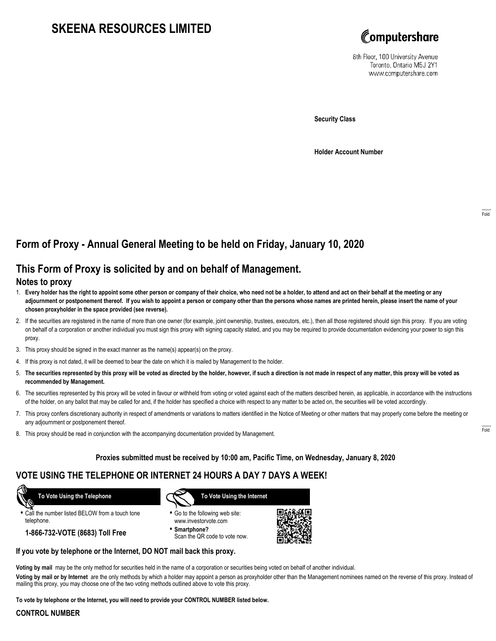# **SKEENA RESOURCES LIMITED**



8th Floor, 100 University Avenue Toronto, Ontario M5J 2Y1 www.computershare.com

**Security Class**

**Holder Account Number**

# **Form of Proxy - Annual General Meeting to be held on Friday, January 10, 2020**

## **This Form of Proxy is solicited by and on behalf of Management.**

### **Notes to proxy**

- 1. **Every holder has the right to appoint some other person or company of their choice, who need not be a holder, to attend and act on their behalf at the meeting or any adjournment or postponement thereof. If you wish to appoint a person or company other than the persons whose names are printed herein, please insert the name of your chosen proxyholder in the space provided (see reverse).**
- 2. If the securities are registered in the name of more than one owner (for example, joint ownership, trustees, executors, etc.), then all those registered should sign this proxy. If you are voting on behalf of a corporation or another individual you must sign this proxy with signing capacity stated, and you may be required to provide documentation evidencing your power to sign this proxy.
- 3. This proxy should be signed in the exact manner as the name(s) appear(s) on the proxy.
- 4. If this proxy is not dated, it will be deemed to bear the date on which it is mailed by Management to the holder.
- 5. **The securities represented by this proxy will be voted as directed by the holder, however, if such a direction is not made in respect of any matter, this proxy will be voted as recommended by Management.**
- 6. The securities represented by this proxy will be voted in favour or withheld from voting or voted against each of the matters described herein, as applicable, in accordance with the instructions of the holder, on any ballot that may be called for and, if the holder has specified a choice with respect to any matter to be acted on, the securities will be voted accordingly.
- 7. This proxy confers discretionary authority in respect of amendments or variations to matters identified in the Notice of Meeting or other matters that may properly come before the meeting or any adjournment or postponement thereof.
- 8. This proxy should be read in conjunction with the accompanying documentation provided by Management.

#### **Proxies submitted must be received by 10:00 am, Pacific Time, on Wednesday, January 8, 2020**

## **VOTE USING THE TELEPHONE OR INTERNET 24 HOURS A DAY 7 DAYS A WEEK!**

 **To Vote Using the Telephone**

**•** Call the number listed BELOW from a touch tone telephone.

**1-866-732-VOTE (8683) Toll Free**



- **•** Go to the following web site: www.investorvote.com
- **• Smartphone?** Scan the QR code to vote now.



#### **If you vote by telephone or the Internet, DO NOT mail back this proxy.**

**Voting by mail** may be the only method for securities held in the name of a corporation or securities being voted on behalf of another individual.

**Voting by mail or by Internet** are the only methods by which a holder may appoint a person as proxyholder other than the Management nominees named on the reverse of this proxy. Instead of mailing this proxy, you may choose one of the two voting methods outlined above to vote this proxy.

**To vote by telephone or the Internet, you will need to provide your CONTROL NUMBER listed below.**

### **CONTROL NUMBER**